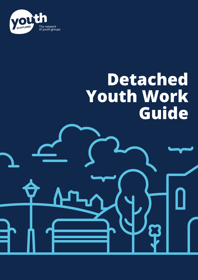

# **Detached Youth Work Guide**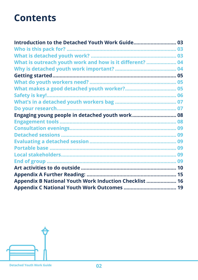### **Contents**

| Introduction to the Detached Youth Work Guide            | 03 |
|----------------------------------------------------------|----|
|                                                          |    |
|                                                          |    |
| What is outreach youth work and how is it different?  04 |    |
|                                                          |    |
|                                                          |    |
|                                                          |    |
|                                                          |    |
| <b>Safety is key!.</b>                                   |    |
|                                                          |    |
| Do your research                                         |    |
|                                                          |    |
|                                                          |    |
|                                                          |    |
|                                                          |    |
|                                                          |    |
|                                                          |    |
|                                                          |    |
|                                                          |    |
|                                                          |    |
|                                                          |    |
| Appendix B National Youth Work Induction Checklist  16   |    |
|                                                          |    |

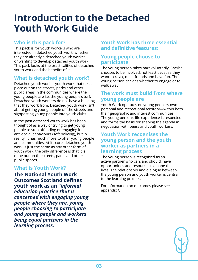### <span id="page-2-0"></span>**Introduction to the Detached Youth Work Guide**

### **Who is this pack for?**

This pack is for youth workers who are interested in detached youth work, whether they are already a detached youth worker or wanting to develop detached youth work. This pack looks at the practicalities of detached youth work and the benefits of it.

### **What is detached youth work?**

Detached youth work is youth work that takes place out on the streets, parks and other public areas in the communities where the young people are i.e. the young people's turf. Detached youth workers do not have a building that they work from. Detached youth work isn't about getting young people off the streets and signposting young people into youth clubs.

In the past detached youth work has been thought of as a way of trying to get young people to stop offending or engaging in anti-social behaviours (soft policing), but in reality, it has much more to offer young people and communities. At its core, detached youth work is just the same as any other form of youth work, the only difference is that it is done out on the streets, parks and other public spaces.

### **What is Youth Work?**

**The National Youth Work Outcomes Scotland defines youth work as an "***informal education practice that is concerned with engaging young people where they are, young people choosing to participate and young people and workers being equal partners in the learning process."*

### **Youth Work has three essential and definitive features:**

### **Young people choose to participate**

The young person takes part voluntarily. She/he chooses to be involved, not least because they want to relax, meet friends and have fun. The young person decides whether to engage or to walk away.

### **The work must build from where young people are**

Youth Work operates on young people's own personal and recreational territory—within both their geographic and interest communities. The young person's life experience is respected and forms the basis for shaping the agenda in negotiation with peers and youth workers.

### **Youth Work recognises the young person and the youth worker as partners in a learning process**

The young person is recognised as an active partner who can, and should, have opportunities and resources to shape their lives. The relationship and dialogue between the young person and youth worker is central to the learning process.

For information on outcomes please see appendix C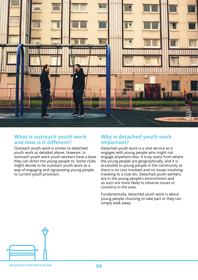<span id="page-3-0"></span>

### **What is outreach youth work and how is it different?**

Outreach youth work is similar to detached youth work as detailed above, however, in outreach youth work youth workers have a base they can direct the young people to. Some clubs might decide to do outreach youth work as a way of engaging and signposting young people to current youth provision.

### **Why is detached youth work important?**

Detached youth work is a vital service as it engages with young people who might not engage anywhere else. It truly starts from where the young people are geographically, and it is accessible to young people in the community as there is no cost involved and no issues involving traveling to a club etc. Detached youth workers are in the young people's environment and as such are more likely to observe issues or concerns in the area.

Fundamentally, detached youth work is about young people choosing to take part or they can simply walk away.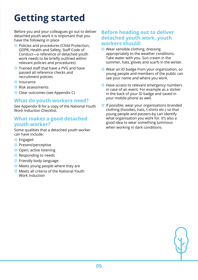### <span id="page-4-0"></span>**Getting started**

Before you and your colleagues go out to deliver detached youth work it is important that you have the following in place

- **O** Policies and procedures (Child Protection, GDPR, Health and Safety, Staff Code of Conduct—a reference of detached youth work needs to be briefly outlined within relevant policies and procedures)
- **O** Trained staff that have a PVG and have passed all reference checks and recruitment policies
- **O** Insurance
- **O** Risk assessments
- **O** Clear outcomes (see Appendix C)

### **What do youth workers need?**

See Appendix B for a copy of the National Youth Work Induction Checklist.

### **What makes a good detached youth worker?**

Some qualities that a detached youth worker can have include:

- **O** Engaged
- **O** Present/perceptive
- **O** Open; active listening
- **O** Responding to needs
- **O** Friendly body language
- **O** Meets young people where they are
- **O** Meets all criteria of the National Youth Work Induction

### **Before heading out to deliver detached youth work, youth workers should:**

- **O** Wear sensible clothing, dressing appropriately to the weather conditions. Take water with you. Sun cream in the summer, hats, gloves and scarfs in the winter.
- **O** Wear an ID badge from your organization, so young people and members of the public can see your name and where you work.
- **O** Have access to relevant emergency numbers in case of an event. For example as a sticker in the back of your ID badge and saved in your mobile phone as well.
- **O** If possible, wear your organisations branded clothing (hoodies, hats, t-shirts etc.) so that young people and passers-by can identify what organisation you work for. It's also a good idea to wear something luminous when working in dark conditions.

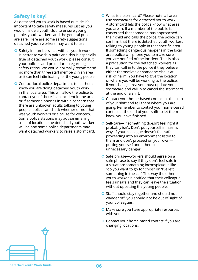### <span id="page-5-0"></span>**Safety is key!**

As detached youth work is based outside it's important to take safety measures just as you would inside a youth club to ensure young people, youth workers and the general public are safe. Here are some safety suggestions detached youth workers may want to use:

- $\bullet$  Safety in numbers—as with all youth work it is better to work in pairs and this is especially true of detached youth work, please consult your policies and procedures regarding safety ratios. We would normally recommend no more than three staff members in an area as it can feel intimidating for the young people.
- **O** Contact local police department to let them know you are doing detached youth work in the local area. This will allow the police to contact you if there is an incident in the area or if someone phones in with a concern that there are unknown adults talking to young people, police can check whether or not that was youth workers or a cause for concern. Some police stations may advise emailing in a list of locations the detached youth workers will be and some police departments may want detached workers to raise a stormcard.
- What is a stormcard? Please note, all area use stormcards for detached youth work. A stormcard lets the police know what area you are in. If a member of the public is concerned that someone has approached their child and calls the police, the police can confirm that there is detached youth workers talking to young people in that specific area. If something dangerous happens in the local area police will phone you to make sure you are notified of the incident. This is also a precaution for the detached workers as they can call in to the police if they believe either themselves or someone else is at risk of harm. You have to give the location of where you will be working to the police, if you change area you must update your stormcard and call in to cancel the stormcard at the end of a shift.
- **O** Contact your home-based contact at the start of your shift and tell them where you are going. Remember to contact your home-based contact at the end of your shift to let them know you have finished.
- **O** Self-care—If something doesn't feel right it probably isn't. Don't put yourself in harm's way. If your colleague doesn't feel safe proceeding into an environment listen to them and don't proceed on your own putting yourself and others in unnecessary danger.
- **O** Safe phrase—workers should agree on a safe phrase to say if they don't feel safe in a situation; something inconspicuous like "do you want to go for chips" or "I've left something in the car" This way the other youth worker is notified that their colleague feels unsafe and they can leave the situation without upsetting the young people.
- **O** Staff should stay together and should not wander off; you should not be out of sight of your colleagues.
- **O** Make sure you have appropriate resources with you.
- **O** Contact your home based contact if you are changing locations.

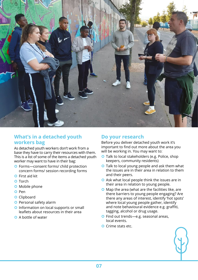<span id="page-6-0"></span>

### **What's in a detached youth workers bag**

As detached youth workers don't work from a base they have to carry their resources with them. This is a list of some of the items a detached youth worker may want to have in their bag:

- **O** Forms-consent forms/ child protection concern forms/ session recording forms
- **O** First aid kit
- **O** Torch
- **O** Mobile phone
- **O** Pen
- **O** Clipboard
- **O** Personal safety alarm
- **O** Information on local supports or small leaflets about resources in their area
- A bottle of water

### **Do your research**

Before you deliver detached youth work it's important to find out more about the area you will be working in. You may want to:

- **O** Talk to local stakeholders (e.g. Police, shop keepers, community residents)
- **O** Talk to local young people and ask them what the issues are in their area in relation to them and their peers.
- **O** Ask what local people think the issues are in their area in relation to young people.
- **O** Map the area (what are the facilities like, are there barriers to young people engaging? Are there any areas of interest, identify 'hot spots' where local young people gather, identify and note behavioural evidence e.g. graffiti, tagging, alcohol or drug usage.
- **O** Find out trends—e.g. seasonal areas, local events.
- **O** Crime stats etc.

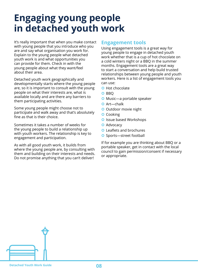### <span id="page-7-0"></span>**Engaging young people in detached youth work**

It's really important that when you make contact with young people that you introduce who you are and say what organisation you work for. Explain to the young people what detached youth work is and what opportunities you can provide for them. Check in with the young people about what they want/feel about their area.

Detached youth work geographically and developmentally starts where the young people are, so it is important to consult with the young people on what their interests are, what is available locally and are there any barriers to them participating activities.

Some young people might choose not to participate and walk away and that's absolutely fine as that is their choice.

Sometimes it takes a number of weeks for the young people to build a relationship up with youth workers. The relationship is key to engagement and participation.

As with all good youth work, it builds from where the young people are, by consulting with them and building on their interests and needs. Do not promise anything that you can't deliver!

### **Engagement tools**

Using engagement tools is a great way for young people to engage in detached youth work whether that is a cup of hot chocolate on a cold winters night or a BBQ in the summer months. Engagement tools are a great way to start a conversation and help build trusted relationships between young people and youth workers. Here is a list of engagement tools you can use:

- **O** Hot chocolate
- O BBO
- **O** Music—a portable speaker
- **O** Art-chalk
- **O** Outdoor movie night
- **O** Cooking
- **O** Issue based Workshops
- **O** Advocacy
- **O** Leaflets and brochures
- **O** Sports-street football

If for example you are thinking about BBQ or a portable speaker, get in contact with the local council to gain permission/consent if necessary or appropriate.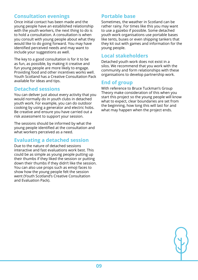### **Consultation evenings**

Once initial contact has been made and the young people have an established relationship with the youth workers, the next thing to do is to hold a consultation. A consultation is when you consult with young people about what they would like to do going forward. You may have identified perceived needs and may want to include your suggestions as well.

The key to a good consultation is for it to be as fun, as possible, by making it creative and fun young people are more likely to engage. Providing food and other incentives works well. Youth Scotland has a Creative Consultation Pack available for ideas and tips.

### **Detached sessions**

You can deliver just about every activity that you would normally do in youth clubs in detached youth work. For example, you can do outdoor cooking by using a generator and electric hobs. Be creative and ensure you have carried out a risk assessment to support your session.

The sessions should be informed by what the young people identified at the consultation and what workers perceived as a need.

### **Evaluating a detached session**

Due to the nature of detached sessions interactive and fast evaluations work best. This could be as simple as young people putting up their thumbs if they liked the session or putting down their thumbs if they didn't like the session. You can also use props such as emoji faces to show how the young people felt the session went (Youth Scotland's Creative Consultation and Evaluation Pack).

### **Portable base**

Sometimes, the weather in Scotland can be rather rainy. For times like this you may want to use a gazebo if possible. Some detached youth work organisations use portable bases like tents, buses or even shipping tankers that they kit out with games and information for the young people.

### **Local stakeholders**

Detached youth work does not exist in a silos. We recommend that you work with the community and form relationships with these organisations to develop partnership work.

### **End of group**

With reference to Bruce Tuckman's Group Theory make consideration of this when you start this project so the young people will know what to expect, clear boundaries are set from the beginning, how long this will last for and what may happen when the project ends.

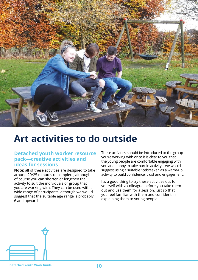<span id="page-9-0"></span>

### **Art activities to do outside**

### **Detached youth worker resource pack—creative activities and ideas for sessions**

**Note:** all of these activities are designed to take around 20/25 minutes to complete, although of course you can shorten or lengthen the activity to suit the individuals or group that you are working with. They can be used with a wide range of participants, although we would suggest that the suitable age range is probably 6 and upwards.

These activities should be introduced to the group you're working with once it is clear to you that the young people are comfortable engaging with you and happy to take part in activity—we would suggest using a suitable 'icebreaker' as a warm-up activity to build confidence, trust and engagement.

It's a good thing to try these activities out for yourself with a colleague before you take them out and use them for a session, just so that you feel familiar with them and confident in explaining them to young people.

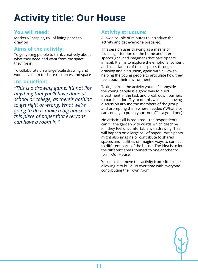### **Activity title: Our House**

### **You will need:**

Markers/Sharpies, roll of lining paper to draw on

### **Aims of the activity:**

To get young people to think creatively about what they need and want from the space they live in

To collaborate on a large-scale drawing and work as a team to share resources and space

### **Introduction:**

*"This is a drawing game, it's not like anything that you'll have done at school or college, as there's nothing to get right or wrong. What we're going to do is make a big house on this piece of paper that everyone can have a room in."*

### **Activity structure:**

Allow a couple of minutes to introduce the activity and get everyone prepared.

This session uses drawing as a means of focusing attention on the home and interior spaces (real and imagined) that participants inhabit. It aims to explore the emotional content and associations of those spaces through drawing and discussion, again with a view to helping the young people to articulate how they feel about their environment.

Taking part in the activity yourself alongside the young people is a good way to build investment in the task and break down barriers to participation. Try to do this while still moving discussion around the members of the group and prompting them where needed ("What else can could you put in your room?" is a good one).

No artistic skill is required—the respondents can fill the garden with words which describe it if they feel uncomfortable with drawing. This will happen on a large roll of paper. Participants might also imagine or contribute to shared spaces and facilities or imagine ways to connect to different parts of the house. The idea is to let the different areas connect to one another to form 'Our House'.

You can also move this activity from site to site, allowing it to build up over time with everyone contributing their own room.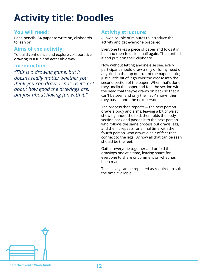### **Activity title: Doodles**

### **You will need:**

Pens/pencils, A4 paper to write on, clipboards to lean on

### **Aims of the activity:**

To build confidence and explore collaborative drawing in a fun and accessible way

### **Introduction:**

*"This is a drawing game, but it doesn't really matter whether you think you can draw or not, as it's not about how good the drawings are, but just about having fun with it."*

### **Activity structure:**

Allow a couple of minutes to introduce the activity and get everyone prepared.

Everyone takes a piece of paper and folds it in half and then folds it in half again. Then unfolds it and put it on their clipboard.

Now without letting anyone else see, every participant should draw a silly or funny head of any kind in the top quarter of the paper, letting just a little bit of it go over the crease into the second section of the paper. When that's done, they unclip the paper and fold the section with the head that they've drawn on back so that it can't be seen and only the 'neck' shows, then they pass it onto the next person.

The process then repeats— the next person draws a body and arms, leaving a bit of waist showing under the fold, then folds the body section back and passes it to the next person, who follows the same process but draws legs, and then it repeats for a final time with the fourth person, who draws a pair of feet that connect to the legs. By now all that can be seen should be the feet.

Gather everyone together and unfold the drawings one at a time, leaving space for everyone to share or comment on what has been made.

The activity can be repeated as required to suit the time available.

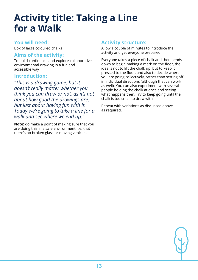### **Activity title: Taking a Line for a Walk**

### **You will need:**

Box of large coloured chalks

### **Aims of the activity:**

To build confidence and explore collaborative environmental drawing in a fun and accessible way

#### **Introduction:**

*"This is a drawing game, but it doesn't really matter whether you think you can draw or not, as it's not about how good the drawings are, but just about having fun with it. Today we're going to take a line for a walk and see where we end up."*

**Note:** do make a point of making sure that you are doing this in a safe environment, i.e. that there's no broken glass or moving vehicles.

### **Activity structure:**

Allow a couple of minutes to introduce the activity and get everyone prepared.

Everyone takes a piece of chalk and then bends down to begin making a mark on the floor, the idea is not to lift the chalk up, but to keep it pressed to the floor, and also to decide where you are going collectively, rather than setting off in individual directions (although that can work as well). You can also experiment with several people holding the chalk at once and seeing what happens then. Try to keep going until the chalk is too small to draw with.

Repeat with variations as discussed above as required.

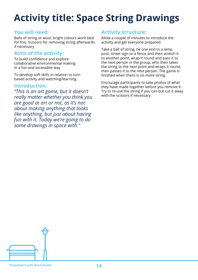### **Activity title: Space String Drawings**

### **You will need:**

Balls of string or wool, bright colours work best for this. Scissors for removing string afterwards if necessary

### **Aims of the activity:**

To build confidence and explore collaborative environmental making in a fun and accessible way

To develop soft skills in relation to turn based activity and watching/learning

#### **Introduction:**

*"This is an art game, but it doesn't really matter whether you think you are good at art or not, as it's not about making anything that looks like anything, but just about having fun with it. Today we're going to do some drawings in space with."*

### **Activity structure:**

Allow a couple of minutes to introduce the activity and get everyone prepared.

Take a ball of string, tie one end to a lamp post, street sign or a fence and then stretch it to another point, wrap it round and pass it to the next person in the group, who then takes the string to the next point and wraps it round, then passes it to the next person. The game is finished when there is no more string.

Encourage participants to take photos of what they have made together before you remove it. Try to re-use the string if you can but cut it away with the scissors if necessary.

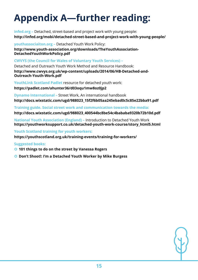## <span id="page-14-0"></span>**Appendix A—further reading:**

**infed.org –** Detached, street-based and project work with young people: **http://infed.org/mobi/detached-street-based-and-project-work-with-young-people/**

**youthassociaiton.org –** Detached Youth Work Policy: **http://www.youth-association.org/downloads/TheYouthAssociation-DetachedYouthWorkPolicy.pdf**

**CWVYS (the Council for Wales of Voluntary Youth Services) –**

Detached and Outreach Youth Work Method and Resource Handbook: **http://www.cwvys.org.uk/wp-content/uploads/2014/06/HB-Detached-and-Outreach-Youth-Work.pdf**

**YouthLink Scotland Padlet** resource for detached youth work:

**https://padlet.com/ahunter36/d03oqu1mw8oz0jp2** 

**Dynamo International –** Street Work, An international handbook **http://docs.wixstatic.com/ugd/988023\_15f2f6b05aa245ebad0c5c85e22bba91.pdf**

**Training guide. Social street work and communication towards the media: http://docs.wixstatic.com/ugd/988023\_400544bc8be54c4bababa9320b72b10d.pdf**

**National Youth Association (England) –** Introduction to Detached Youth Work **https://youthworksupport.co.uk/detached-youth-work-course/story\_html5.html** 

**Youth Scotland training for youth workers:**

**https://youthscotland.org.uk/training-events/training-for-workers/**

**Suggested books:**

- **101 things to do on the street by Vanessa Rogers**
- **Don't Shoot!: I'm a Detached Youth Worker by Mike Burgess**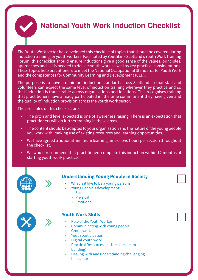<span id="page-15-0"></span>

The Youth Work sector has developed this checklist of topics that should be covered during induction training for youth workers. Facilitated by YouthLink Scotland's Youth Work Training Forum, this checklist should ensure inductions give a good sense of the values, principles, approaches and skills needed to deliver youth work as well as key practical considerations. These topics help practitioners to meet the National Occupational Standards for Youth Work and the competences for Community Learning and Development (CLD).

The purpose is to have a minimum induction standard across Scotland so that staff and volunteers can expect the same level of induction training wherever they practice and so that induction is transferable across organisations and locations. This recognises training that practitioners have already participated in, the time commitment they have given and the quality of induction provision across the youth work sector.

The principles of this checklist are:

- The pitch and level expected is one of awareness raising. There is an expectation that practitioners will do further training in these areas.
- The content should be adapted to your organisation and the nature of the young people you work with, making use of existing resources and learning opportunities.
- We have agreed a notional minimum learning time of two hours per section throughout the checklist.
- We would recommend that practitioners complete this induction within 12 months of starting youth work practice.



- What is it like to be a young person?
- Young People's development:
	- Social
	- Physical
	- Emotional

#### **Youth Work Skills**

- Role of the Youth Worker
- Communicating with young people
- **Group work**
- Youth participation
- Digital youth work
- Practical Resources (ice breakers, team building)
- Dealing with and understanding challenging behaviour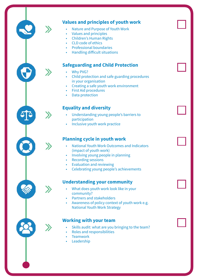### **Values and principles of youth work**

- Nature and Purpose of Youth Work
- Values and principles
- Children's Human Rights
- CLD code of ethics
- Professional boundaries
- Handling difficult situations

#### **Safeguarding and Child Protection**

- Why PVG?
- Child protection and safe guarding procedures in your organisation
- Creating a safe youth work environment
- **First Aid procedures**
- Data protection

#### **Equality and diversity**

- Understanding young people's barriers to participation
- Inclusive youth work practice

#### **Planning cycle in youth work**

- National Youth Work Outcomes and Indicators (impact of youth work)
- Involving young people in planning
- Recording sessions
- Evaluation and reviewing
- Celebrating young people's achievements

#### **Understanding your community**

- What does youth work look like in your community?
- Partners and stakeholders
- Awareness of policy context of youth work e.g. National Youth Work Strategy

#### **Working with your team**

- Skills audit: what are you bringing to the team?
- Roles and responsibilities
- **Teamwork**
- **Leadership**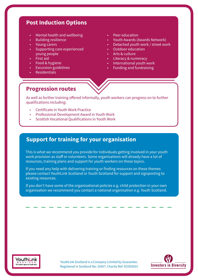### **Post Induction Options**

- Mental health and wellbeing
- Building resilience
- Young carers
- Supporting care experienced young people
- First aid
- Food & hygiene
- **Excursion guidelines**
- **Residentials**
- Peer education
- Youth Awards (Awards Network)
- Detached youth work / street work
- Outdoor education
- Arts & culture
- Literacy & numeracy
- International youth work
- Funding and fundraising

#### **Progression routes**

As well as further training offered informally, youth workers can progress on to further qualifications including:

- Certificate in Youth Work Practice
- Professional Development Award in Youth Work
- Scottish Vocational Qualifications in Youth Work

### **Support for training for your organisation**

This is what we recommend you provide for individuals getting involved in your youth work provision as staff or volunteers. Some organisations will already have a lot of resources, training plans and support for youth workers on these topics.

If you need any help with delivering training or finding resources on these themes please contact YouthLink Scotland or Youth Scotland for support and signposting to existing resources.

If you don't have some of the organisational policies e.g. child protection in your own organisation we recommend you contact a national organisation e.g. Youth Scotland.



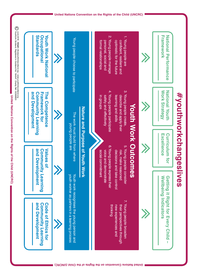

United Nations Convention on the Rights of the Child (UNCRC) **United Nations Convention on the Rights of the Child (UNCRC)**

**United Nations Convention on the Rights of the Child (UNCRC)**